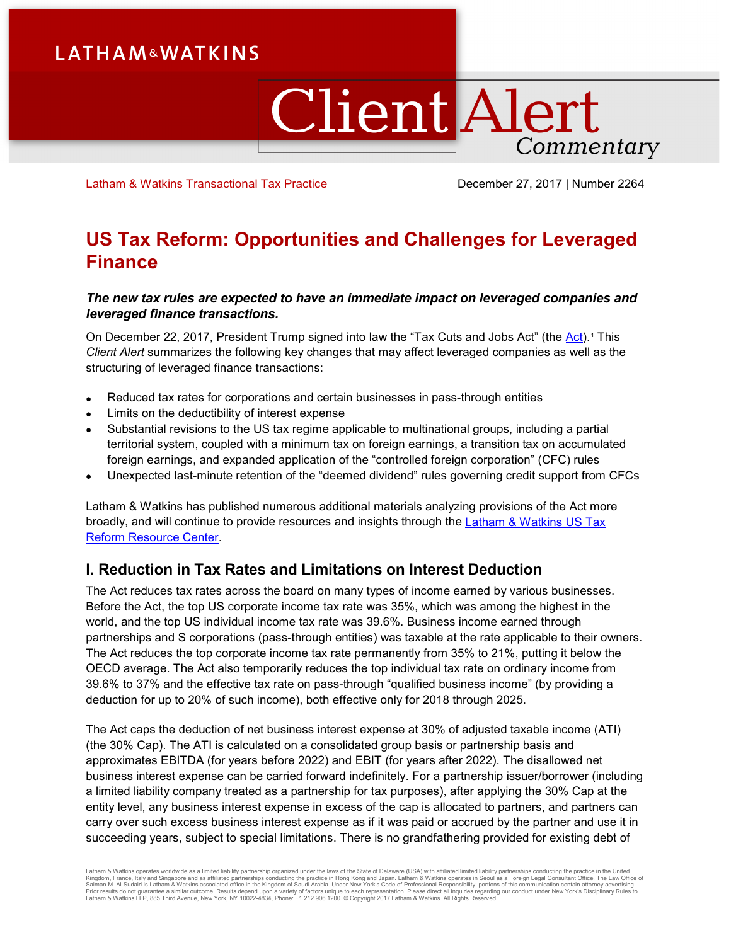# **LATHAM&WATKINS**

# **Client Alert** Commentary

[Latham & Watkins Transactional Tax Practice](https://www.lw.com/practices/TransactionalTax) December 27, 2017 | Number 2264

## **US Tax Reform: Opportunities and Challenges for Leveraged Finance**

### *The new tax rules are expected to have an immediate impact on leveraged companies and leveraged finance transactions.*

On December 22, 2017, President Trump signed into law the "Tax Cuts and Jobs Act" (the [Act\)](https://www.congress.gov/115/bills/hr1/BILLS-115hr1enr.pdf).<sup>[1](#page-6-0)</sup> This *Client Alert* summarizes the following key changes that may affect leveraged companies as well as the structuring of leveraged finance transactions:

- Reduced tax rates for corporations and certain businesses in pass-through entities
- Limits on the deductibility of interest expense
- Substantial revisions to the US tax regime applicable to multinational groups, including a partial territorial system, coupled with a minimum tax on foreign earnings, a transition tax on accumulated foreign earnings, and expanded application of the "controlled foreign corporation" (CFC) rules
- Unexpected last-minute retention of the "deemed dividend" rules governing credit support from CFCs

Latham & Watkins has published numerous additional materials analyzing provisions of the Act more broadly, and will continue to provide resources and insights through the [Latham & Watkins US Tax](https://www.lw.com/practices/USTaxReform) [Reform Resource Center.](https://www.lw.com/practices/USTaxReform)

## **I. Reduction in Tax Rates and Limitations on Interest Deduction**

The Act reduces tax rates across the board on many types of income earned by various businesses. Before the Act, the top US corporate income tax rate was 35%, which was among the highest in the world, and the top US individual income tax rate was 39.6%. Business income earned through partnerships and S corporations (pass-through entities) was taxable at the rate applicable to their owners. The Act reduces the top corporate income tax rate permanently from 35% to 21%, putting it below the OECD average. The Act also temporarily reduces the top individual tax rate on ordinary income from 39.6% to 37% and the effective tax rate on pass-through "qualified business income" (by providing a deduction for up to 20% of such income), both effective only for 2018 through 2025.

The Act caps the deduction of net business interest expense at 30% of adjusted taxable income (ATI) (the 30% Cap). The ATI is calculated on a consolidated group basis or partnership basis and approximates EBITDA (for years before 2022) and EBIT (for years after 2022). The disallowed net business interest expense can be carried forward indefinitely. For a partnership issuer/borrower (including a limited liability company treated as a partnership for tax purposes), after applying the 30% Cap at the entity level, any business interest expense in excess of the cap is allocated to partners, and partners can carry over such excess business interest expense as if it was paid or accrued by the partner and use it in succeeding years, subject to special limitations. There is no grandfathering provided for existing debt of

Latham & Watkins operates worldwide as a limited liability partnership organized under the laws of the State of Delaware (USA) with affiliated partnerships conducting the practice in Hong Kong and Japan. Latham & Watkins o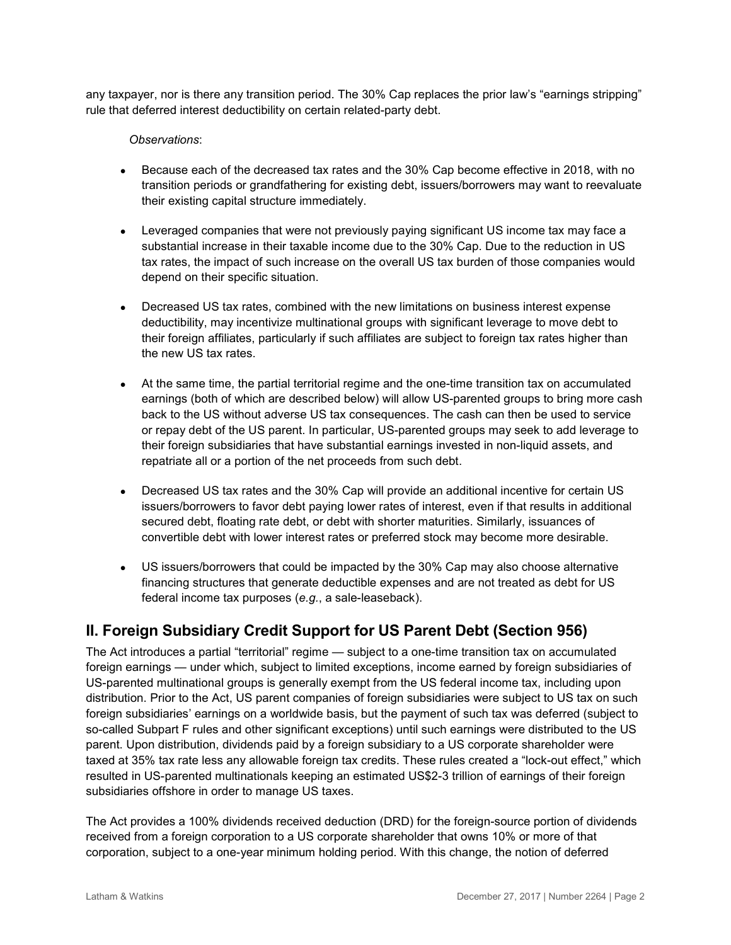any taxpayer, nor is there any transition period. The 30% Cap replaces the prior law's "earnings stripping" rule that deferred interest deductibility on certain related-party debt.

#### *Observations*:

- Because each of the decreased tax rates and the 30% Cap become effective in 2018, with no transition periods or grandfathering for existing debt, issuers/borrowers may want to reevaluate their existing capital structure immediately.
- Leveraged companies that were not previously paying significant US income tax may face a substantial increase in their taxable income due to the 30% Cap. Due to the reduction in US tax rates, the impact of such increase on the overall US tax burden of those companies would depend on their specific situation.
- Decreased US tax rates, combined with the new limitations on business interest expense deductibility, may incentivize multinational groups with significant leverage to move debt to their foreign affiliates, particularly if such affiliates are subject to foreign tax rates higher than the new US tax rates.
- At the same time, the partial territorial regime and the one-time transition tax on accumulated earnings (both of which are described below) will allow US-parented groups to bring more cash back to the US without adverse US tax consequences. The cash can then be used to service or repay debt of the US parent. In particular, US-parented groups may seek to add leverage to their foreign subsidiaries that have substantial earnings invested in non-liquid assets, and repatriate all or a portion of the net proceeds from such debt.
- Decreased US tax rates and the 30% Cap will provide an additional incentive for certain US issuers/borrowers to favor debt paying lower rates of interest, even if that results in additional secured debt, floating rate debt, or debt with shorter maturities. Similarly, issuances of convertible debt with lower interest rates or preferred stock may become more desirable.
- US issuers/borrowers that could be impacted by the 30% Cap may also choose alternative financing structures that generate deductible expenses and are not treated as debt for US federal income tax purposes (*e.g.*, a sale-leaseback).

## **II. Foreign Subsidiary Credit Support for US Parent Debt (Section 956)**

The Act introduces a partial "territorial" regime — subject to a one-time transition tax on accumulated foreign earnings — under which, subject to limited exceptions, income earned by foreign subsidiaries of US-parented multinational groups is generally exempt from the US federal income tax, including upon distribution. Prior to the Act, US parent companies of foreign subsidiaries were subject to US tax on such foreign subsidiaries' earnings on a worldwide basis, but the payment of such tax was deferred (subject to so-called Subpart F rules and other significant exceptions) until such earnings were distributed to the US parent. Upon distribution, dividends paid by a foreign subsidiary to a US corporate shareholder were taxed at 35% tax rate less any allowable foreign tax credits. These rules created a "lock-out effect," which resulted in US-parented multinationals keeping an estimated US\$2-3 trillion of earnings of their foreign subsidiaries offshore in order to manage US taxes.

The Act provides a 100% dividends received deduction (DRD) for the foreign-source portion of dividends received from a foreign corporation to a US corporate shareholder that owns 10% or more of that corporation, subject to a one-year minimum holding period. With this change, the notion of deferred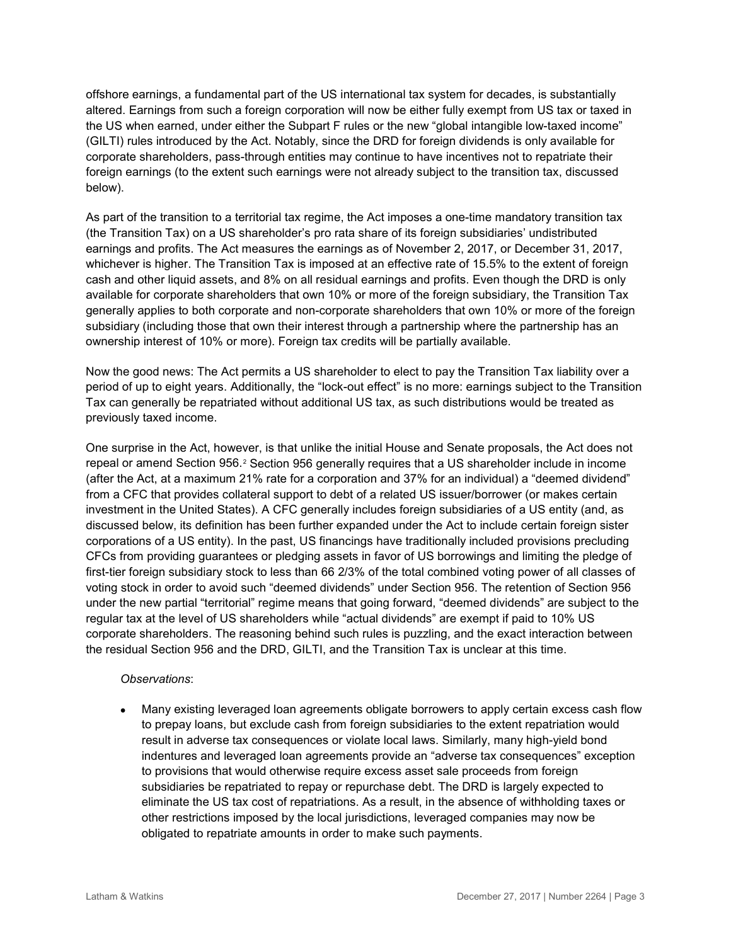offshore earnings, a fundamental part of the US international tax system for decades, is substantially altered. Earnings from such a foreign corporation will now be either fully exempt from US tax or taxed in the US when earned, under either the Subpart F rules or the new "global intangible low-taxed income" (GILTI) rules introduced by the Act. Notably, since the DRD for foreign dividends is only available for corporate shareholders, pass-through entities may continue to have incentives not to repatriate their foreign earnings (to the extent such earnings were not already subject to the transition tax, discussed below).

As part of the transition to a territorial tax regime, the Act imposes a one-time mandatory transition tax (the Transition Tax) on a US shareholder's pro rata share of its foreign subsidiaries' undistributed earnings and profits. The Act measures the earnings as of November 2, 2017, or December 31, 2017, whichever is higher. The Transition Tax is imposed at an effective rate of 15.5% to the extent of foreign cash and other liquid assets, and 8% on all residual earnings and profits. Even though the DRD is only available for corporate shareholders that own 10% or more of the foreign subsidiary, the Transition Tax generally applies to both corporate and non-corporate shareholders that own 10% or more of the foreign subsidiary (including those that own their interest through a partnership where the partnership has an ownership interest of 10% or more). Foreign tax credits will be partially available.

Now the good news: The Act permits a US shareholder to elect to pay the Transition Tax liability over a period of up to eight years. Additionally, the "lock-out effect" is no more: earnings subject to the Transition Tax can generally be repatriated without additional US tax, as such distributions would be treated as previously taxed income.

One surprise in the Act, however, is that unlike the initial House and Senate proposals, the Act does not repeal or amend Section 956.[2](#page-6-1) Section 956 generally requires that a US shareholder include in income (after the Act, at a maximum 21% rate for a corporation and 37% for an individual) a "deemed dividend" from a CFC that provides collateral support to debt of a related US issuer/borrower (or makes certain investment in the United States). A CFC generally includes foreign subsidiaries of a US entity (and, as discussed below, its definition has been further expanded under the Act to include certain foreign sister corporations of a US entity). In the past, US financings have traditionally included provisions precluding CFCs from providing guarantees or pledging assets in favor of US borrowings and limiting the pledge of first-tier foreign subsidiary stock to less than 66 2/3% of the total combined voting power of all classes of voting stock in order to avoid such "deemed dividends" under Section 956. The retention of Section 956 under the new partial "territorial" regime means that going forward, "deemed dividends" are subject to the regular tax at the level of US shareholders while "actual dividends" are exempt if paid to 10% US corporate shareholders. The reasoning behind such rules is puzzling, and the exact interaction between the residual Section 956 and the DRD, GILTI, and the Transition Tax is unclear at this time.

#### *Observations*:

• Many existing leveraged loan agreements obligate borrowers to apply certain excess cash flow to prepay loans, but exclude cash from foreign subsidiaries to the extent repatriation would result in adverse tax consequences or violate local laws. Similarly, many high-yield bond indentures and leveraged loan agreements provide an "adverse tax consequences" exception to provisions that would otherwise require excess asset sale proceeds from foreign subsidiaries be repatriated to repay or repurchase debt. The DRD is largely expected to eliminate the US tax cost of repatriations. As a result, in the absence of withholding taxes or other restrictions imposed by the local jurisdictions, leveraged companies may now be obligated to repatriate amounts in order to make such payments.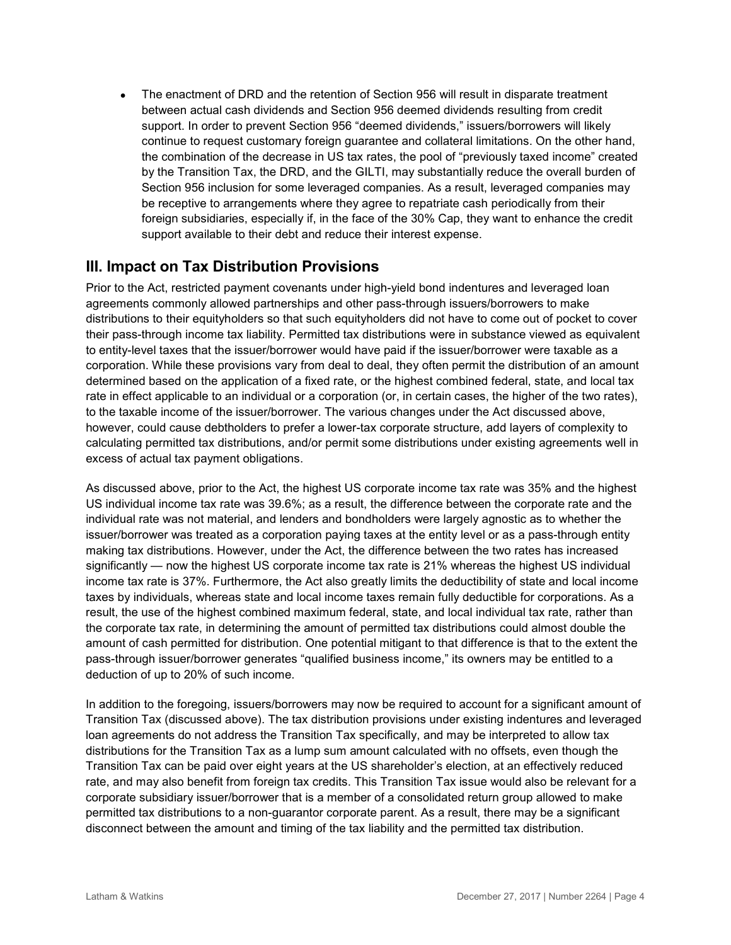• The enactment of DRD and the retention of Section 956 will result in disparate treatment between actual cash dividends and Section 956 deemed dividends resulting from credit support. In order to prevent Section 956 "deemed dividends," issuers/borrowers will likely continue to request customary foreign guarantee and collateral limitations. On the other hand, the combination of the decrease in US tax rates, the pool of "previously taxed income" created by the Transition Tax, the DRD, and the GILTI, may substantially reduce the overall burden of Section 956 inclusion for some leveraged companies. As a result, leveraged companies may be receptive to arrangements where they agree to repatriate cash periodically from their foreign subsidiaries, especially if, in the face of the 30% Cap, they want to enhance the credit support available to their debt and reduce their interest expense.

## **III. Impact on Tax Distribution Provisions**

Prior to the Act, restricted payment covenants under high-yield bond indentures and leveraged loan agreements commonly allowed partnerships and other pass-through issuers/borrowers to make distributions to their equityholders so that such equityholders did not have to come out of pocket to cover their pass-through income tax liability. Permitted tax distributions were in substance viewed as equivalent to entity-level taxes that the issuer/borrower would have paid if the issuer/borrower were taxable as a corporation. While these provisions vary from deal to deal, they often permit the distribution of an amount determined based on the application of a fixed rate, or the highest combined federal, state, and local tax rate in effect applicable to an individual or a corporation (or, in certain cases, the higher of the two rates), to the taxable income of the issuer/borrower. The various changes under the Act discussed above, however, could cause debtholders to prefer a lower-tax corporate structure, add layers of complexity to calculating permitted tax distributions, and/or permit some distributions under existing agreements well in excess of actual tax payment obligations.

As discussed above, prior to the Act, the highest US corporate income tax rate was 35% and the highest US individual income tax rate was 39.6%; as a result, the difference between the corporate rate and the individual rate was not material, and lenders and bondholders were largely agnostic as to whether the issuer/borrower was treated as a corporation paying taxes at the entity level or as a pass-through entity making tax distributions. However, under the Act, the difference between the two rates has increased significantly — now the highest US corporate income tax rate is 21% whereas the highest US individual income tax rate is 37%. Furthermore, the Act also greatly limits the deductibility of state and local income taxes by individuals, whereas state and local income taxes remain fully deductible for corporations. As a result, the use of the highest combined maximum federal, state, and local individual tax rate, rather than the corporate tax rate, in determining the amount of permitted tax distributions could almost double the amount of cash permitted for distribution. One potential mitigant to that difference is that to the extent the pass-through issuer/borrower generates "qualified business income," its owners may be entitled to a deduction of up to 20% of such income.

In addition to the foregoing, issuers/borrowers may now be required to account for a significant amount of Transition Tax (discussed above). The tax distribution provisions under existing indentures and leveraged loan agreements do not address the Transition Tax specifically, and may be interpreted to allow tax distributions for the Transition Tax as a lump sum amount calculated with no offsets, even though the Transition Tax can be paid over eight years at the US shareholder's election, at an effectively reduced rate, and may also benefit from foreign tax credits. This Transition Tax issue would also be relevant for a corporate subsidiary issuer/borrower that is a member of a consolidated return group allowed to make permitted tax distributions to a non-guarantor corporate parent. As a result, there may be a significant disconnect between the amount and timing of the tax liability and the permitted tax distribution.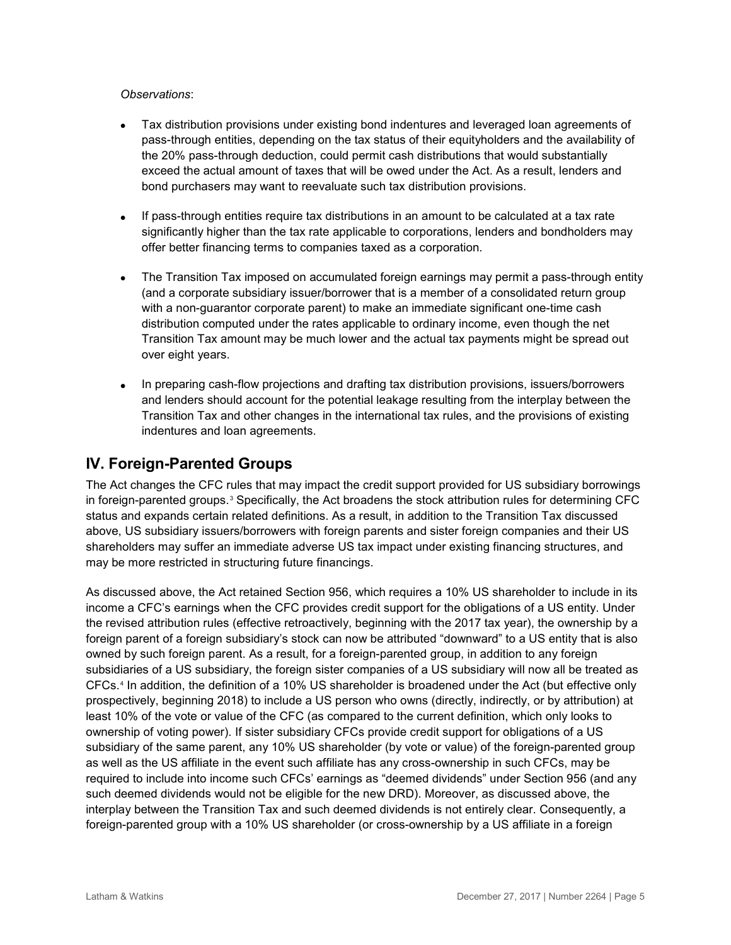#### *Observations*:

- Tax distribution provisions under existing bond indentures and leveraged loan agreements of pass-through entities, depending on the tax status of their equityholders and the availability of the 20% pass-through deduction, could permit cash distributions that would substantially exceed the actual amount of taxes that will be owed under the Act. As a result, lenders and bond purchasers may want to reevaluate such tax distribution provisions.
- If pass-through entities require tax distributions in an amount to be calculated at a tax rate significantly higher than the tax rate applicable to corporations, lenders and bondholders may offer better financing terms to companies taxed as a corporation.
- The Transition Tax imposed on accumulated foreign earnings may permit a pass-through entity (and a corporate subsidiary issuer/borrower that is a member of a consolidated return group with a non-guarantor corporate parent) to make an immediate significant one-time cash distribution computed under the rates applicable to ordinary income, even though the net Transition Tax amount may be much lower and the actual tax payments might be spread out over eight years.
- In preparing cash-flow projections and drafting tax distribution provisions, issuers/borrowers and lenders should account for the potential leakage resulting from the interplay between the Transition Tax and other changes in the international tax rules, and the provisions of existing indentures and loan agreements.

## **IV. Foreign-Parented Groups**

The Act changes the CFC rules that may impact the credit support provided for US subsidiary borrowings in foreign-parented groups.[3](#page-6-2) Specifically, the Act broadens the stock attribution rules for determining CFC status and expands certain related definitions. As a result, in addition to the Transition Tax discussed above, US subsidiary issuers/borrowers with foreign parents and sister foreign companies and their US shareholders may suffer an immediate adverse US tax impact under existing financing structures, and may be more restricted in structuring future financings.

As discussed above, the Act retained Section 956, which requires a 10% US shareholder to include in its income a CFC's earnings when the CFC provides credit support for the obligations of a US entity. Under the revised attribution rules (effective retroactively, beginning with the 2017 tax year), the ownership by a foreign parent of a foreign subsidiary's stock can now be attributed "downward" to a US entity that is also owned by such foreign parent. As a result, for a foreign-parented group, in addition to any foreign subsidiaries of a US subsidiary, the foreign sister companies of a US subsidiary will now all be treated as CFCs.[4](#page-6-3) In addition, the definition of a 10% US shareholder is broadened under the Act (but effective only prospectively, beginning 2018) to include a US person who owns (directly, indirectly, or by attribution) at least 10% of the vote or value of the CFC (as compared to the current definition, which only looks to ownership of voting power). If sister subsidiary CFCs provide credit support for obligations of a US subsidiary of the same parent, any 10% US shareholder (by vote or value) of the foreign-parented group as well as the US affiliate in the event such affiliate has any cross-ownership in such CFCs, may be required to include into income such CFCs' earnings as "deemed dividends" under Section 956 (and any such deemed dividends would not be eligible for the new DRD). Moreover, as discussed above, the interplay between the Transition Tax and such deemed dividends is not entirely clear. Consequently, a foreign-parented group with a 10% US shareholder (or cross-ownership by a US affiliate in a foreign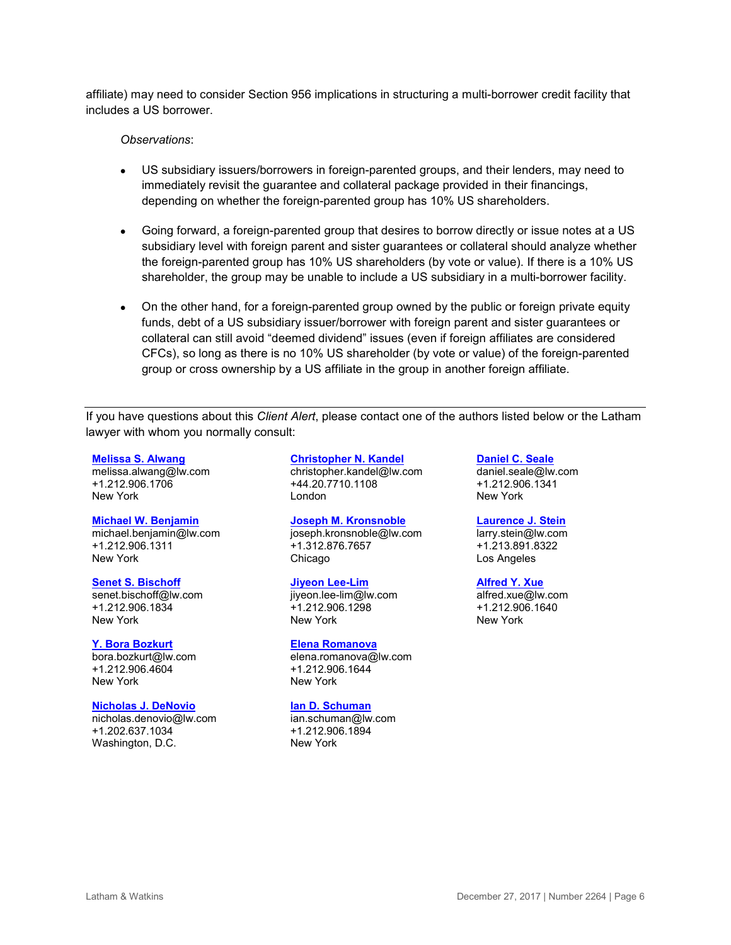affiliate) may need to consider Section 956 implications in structuring a multi-borrower credit facility that includes a US borrower.

#### *Observations*:

- US subsidiary issuers/borrowers in foreign-parented groups, and their lenders, may need to immediately revisit the guarantee and collateral package provided in their financings, depending on whether the foreign-parented group has 10% US shareholders.
- Going forward, a foreign-parented group that desires to borrow directly or issue notes at a US subsidiary level with foreign parent and sister guarantees or collateral should analyze whether the foreign-parented group has 10% US shareholders (by vote or value). If there is a 10% US shareholder, the group may be unable to include a US subsidiary in a multi-borrower facility.
- On the other hand, for a foreign-parented group owned by the public or foreign private equity funds, debt of a US subsidiary issuer/borrower with foreign parent and sister guarantees or collateral can still avoid "deemed dividend" issues (even if foreign affiliates are considered CFCs), so long as there is no 10% US shareholder (by vote or value) of the foreign-parented group or cross ownership by a US affiliate in the group in another foreign affiliate.

If you have questions about this *Client Alert*, please contact one of the authors listed below or the Latham lawyer with whom you normally consult:

#### **[Melissa S. Alwang](https://www.lw.com/people/melissa-alwang)**

[melissa.alwang@lw.com](mailto:melissa.alwang@lw.com) +1.212.906.1706 New York

#### **[Michael W. Benjamin](https://www.lw.com/people/michael-benjamin)**

[michael.benjamin@lw.com](mailto:michael.benjamin@lw.com) +1.212.906.1311 New York

#### **[Senet S. Bischoff](https://www.lw.com/people/senet-bischoff)**

[senet.bischoff@lw.com](mailto:senet.bischoff@lw.com) +1.212.906.1834 New York

#### **[Y. Bora Bozkurt](https://www.lw.com/people/Y-BoraBozkurt)**

[bora.bozkurt@lw.com](mailto:bora.bozkurt@lw.com) +1.212.906.4604 New York

#### **[Nicholas J. DeNovio](https://www.lw.com/people/nicholas-denovio)**

[nicholas.denovio@lw.com](mailto:nicholas.denovio@lw.com) +1.202.637.1034 Washington, D.C.

#### **[Christopher N. Kandel](https://www.lw.com/people/christopher-kandel)**

[christopher.kandel@lw.com](mailto:christopher.kandel@lw.com) +44.20.7710.1108 London

#### **[Joseph M. Kronsnoble](https://www.lw.com/people/JosephMKronsnoble)**

[joseph.kronsnoble@lw.com](mailto:joseph.kronsnoble@lw.com) +1.312.876.7657 Chicago

#### **[Jiyeon Lee-Lim](https://www.lw.com/people/jiyeon-lee-lim)**

[jiyeon.lee-lim@lw.com](mailto:jiyeon.lee-lim@lw.com) +1.212.906.1298 New York

#### **[Elena Romanova](https://www.lw.com/people/elena-romanova)**

[elena.romanova@lw.com](mailto:elena.romanova@lw.com) +1.212.906.1644 New York

#### **[Ian D. Schuman](https://www.lw.com/people/ian-schuman)**

[ian.schuman@lw.com](mailto:ian.schuman@lw.com) +1.212.906.1894 New York

#### **[Daniel C. Seale](https://www.lw.com/people/daniel-seale)**

[daniel.seale@lw.com](mailto:daniel.seale@lw.com) +1.212.906.1341 New York

#### **[Laurence J. Stein](https://www.lw.com/people/laurence-stein)**

[larry.stein@lw.com](mailto:larry.stein@lw.com) +1.213.891.8322 Los Angeles

#### **[Alfred Y. Xue](https://www.lw.com/people/alfred-xue)**

alfred.xue@w.com +1.212.906.1640 New York